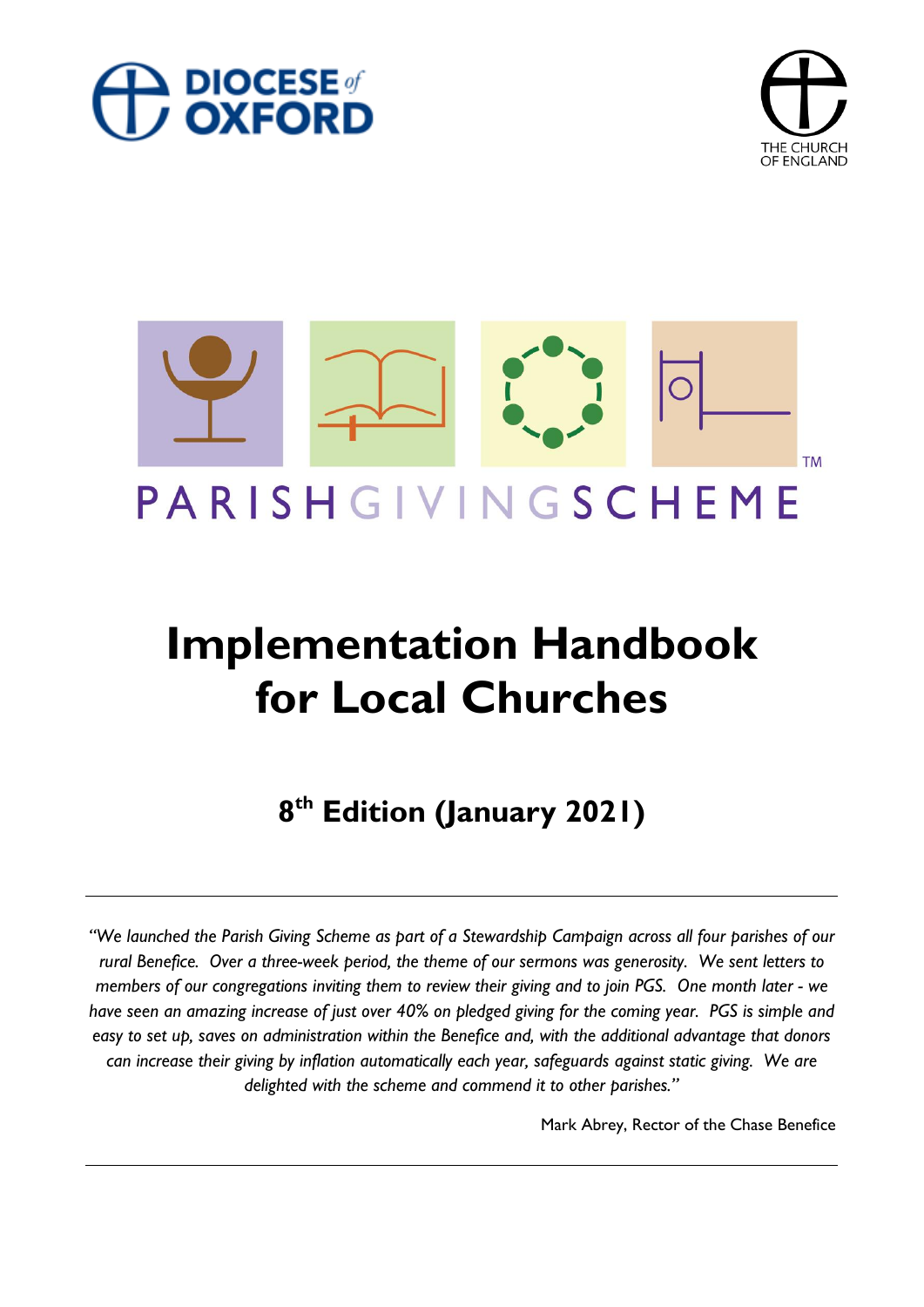





# **Implementation Handbook for Local Churches**

**8 th Edition (January 2021)**

"We launched the Parish Giving Scheme as part of a Stewardship Campaign across all four parishes of our *rural Benefice. Over a three-week period, the theme of our sermons was generosity. We sent letters to members of our congregations inviting them to review their giving and to join PGS. One month later - we have seen an amazing increase of just over 40% on pledged giving for the coming year. PGS is simple and easy to set up, saves on administration within the Benefice and, with the additional advantage that donors can increase their giving by inflation automatically each year, safeguards against static giving. We are delighted with the scheme and commend it to other parishes."*

Mark Abrey, Rector of the Chase Benefice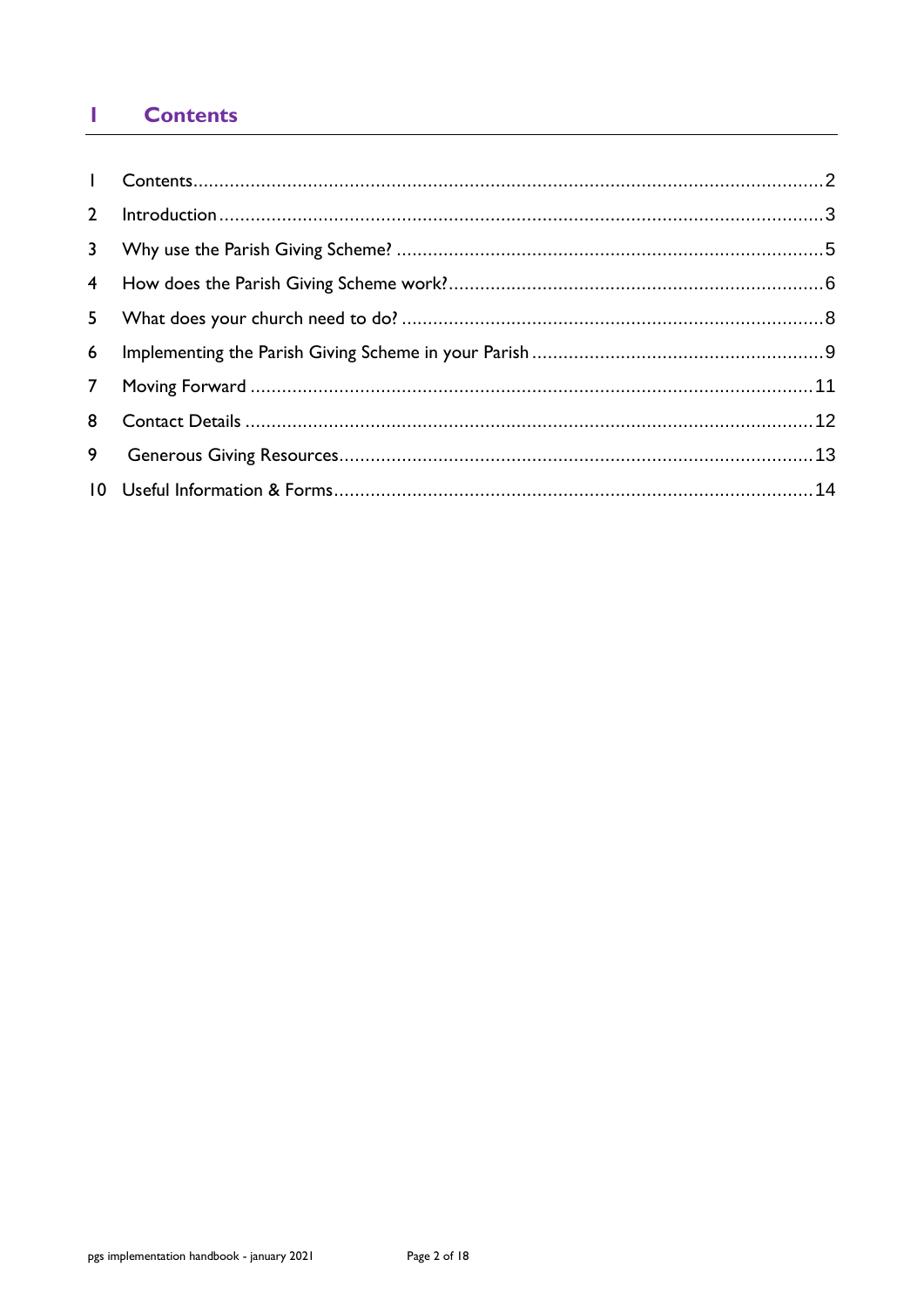#### <span id="page-1-0"></span>**Contents** T

| $2^{\circ}$    |  |
|----------------|--|
|                |  |
|                |  |
| 5 <sub>1</sub> |  |
|                |  |
|                |  |
| 8              |  |
| 9              |  |
|                |  |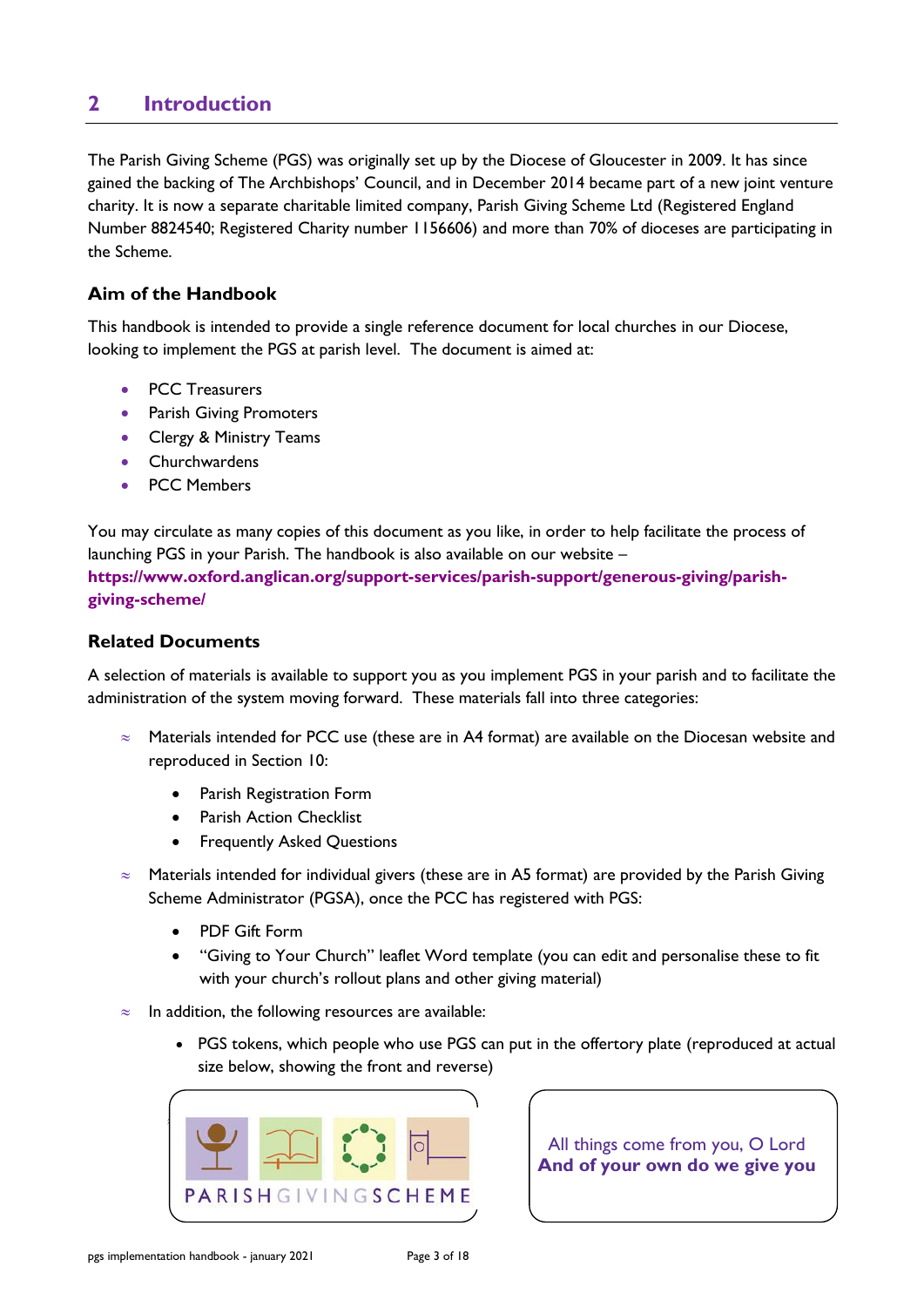# <span id="page-2-0"></span>**2 Introduction**

The Parish Giving Scheme (PGS) was originally set up by the Diocese of Gloucester in 2009. It has since gained the backing of The Archbishops' Council, and in December 2014 became part of a new joint venture charity. It is now a separate charitable limited company, Parish Giving Scheme Ltd (Registered England Number 8824540; Registered Charity number 1156606) and more than 70% of dioceses are participating in the Scheme.

## **Aim of the Handbook**

This handbook is intended to provide a single reference document for local churches in our Diocese, looking to implement the PGS at parish level. The document is aimed at:

- PCC Treasurers
- Parish Giving Promoters
- Clergy & Ministry Teams
- Churchwardens
- PCC Members

You may circulate as many copies of this document as you like, in order to help facilitate the process of launching PGS in your Parish. The handbook is also available on our website – **[https://www.oxford.anglican.org/support-services/parish-support/generous-giving/parish](https://www.oxford.anglican.org/support-services/parish-support/generous-giving/parish-giving-scheme/)[giving-scheme/](https://www.oxford.anglican.org/support-services/parish-support/generous-giving/parish-giving-scheme/)**

## **Related Documents**

A selection of materials is available to support you as you implement PGS in your parish and to facilitate the administration of the system moving forward. These materials fall into three categories:

- $\approx$  Materials intended for PCC use (these are in A4 format) are available on the Diocesan website and reproduced in Section 10:
	- Parish Registration Form
	- Parish Action Checklist
	- **Frequently Asked Questions**
- $\approx$  Materials intended for individual givers (these are in A5 format) are provided by the Parish Giving Scheme Administrator (PGSA), once the PCC has registered with PGS:
	- PDF Gift Form
	- "Giving to Your Church" leaflet Word template (you can edit and personalise these to fit with your church's rollout plans and other giving material)
- $\approx$  In addition, the following resources are available:
	- PGS tokens, which people who use PGS can put in the offertory plate (reproduced at actual size below, showing the front and reverse)



All things come from you, O Lord **And of your own do we give you**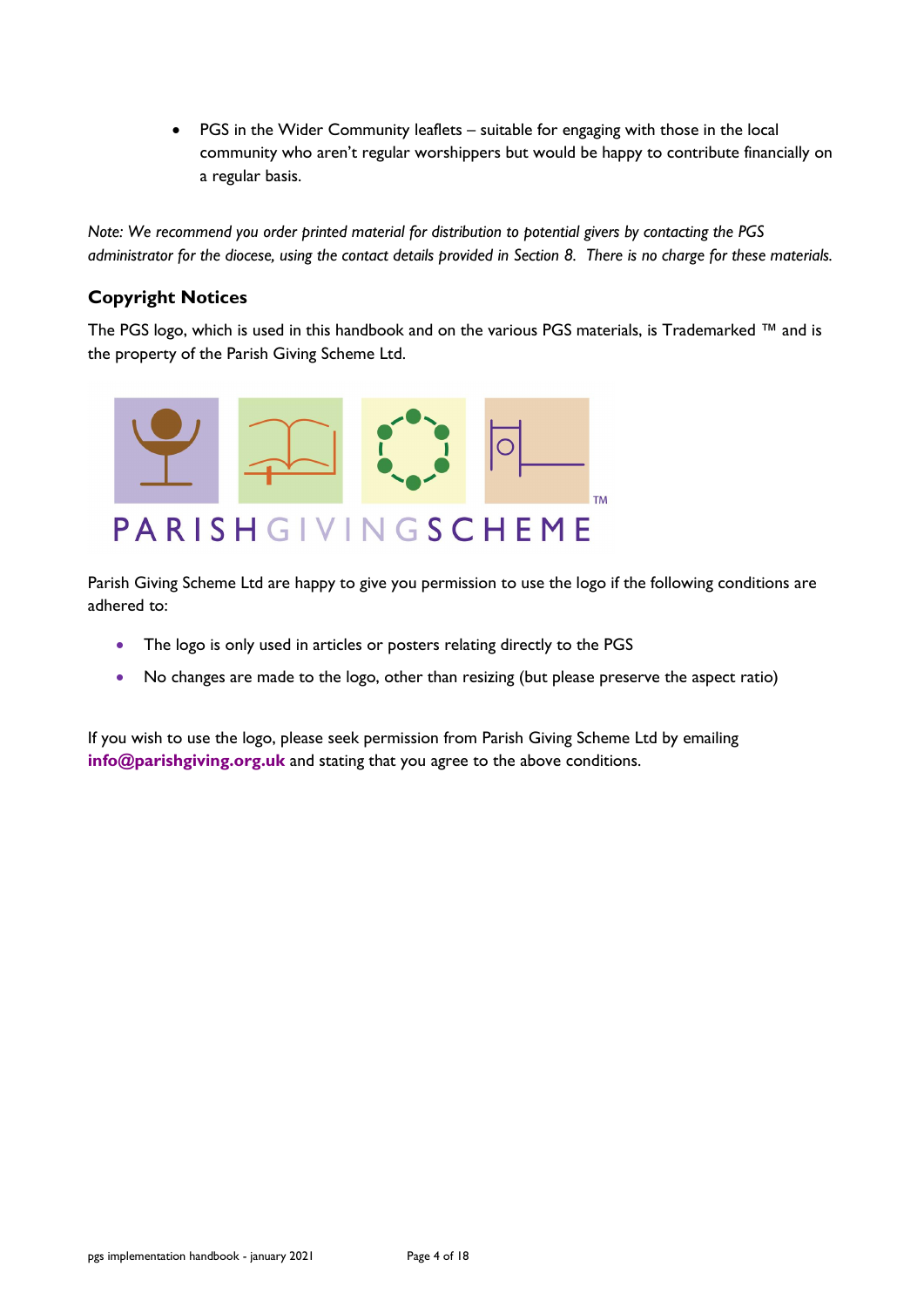• PGS in the Wider Community leaflets – suitable for engaging with those in the local community who aren't regular worshippers but would be happy to contribute financially on a regular basis.

*Note: We recommend you order printed material for distribution to potential givers by contacting the PGS administrator for the diocese, using the contact details provided in Section 8. There is no charge for these materials.*

## **Copyright Notices**

The PGS logo, which is used in this handbook and on the various PGS materials, is Trademarked ™ and is the property of the Parish Giving Scheme Ltd.



Parish Giving Scheme Ltd are happy to give you permission to use the logo if the following conditions are adhered to:

- The logo is only used in articles or posters relating directly to the PGS
- No changes are made to the logo, other than resizing (but please preserve the aspect ratio)

If you wish to use the logo, please seek permission from Parish Giving Scheme Ltd by emailing **[info@parishgiving.org.uk](mailto:info@parishgiving.org.uk)** and stating that you agree to the above conditions.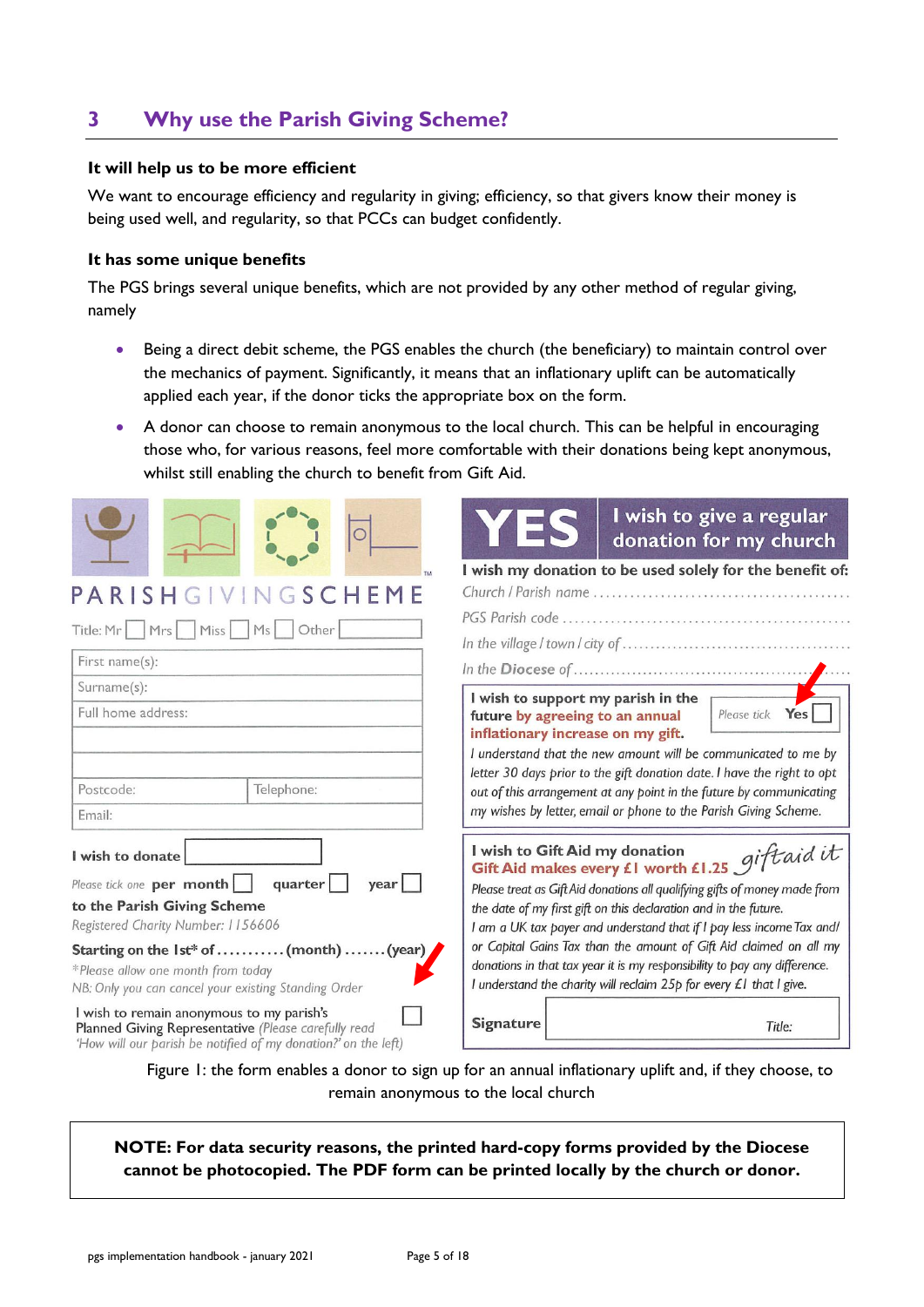# <span id="page-4-0"></span>**3 Why use the Parish Giving Scheme?**

#### **It will help us to be more efficient**

We want to encourage efficiency and regularity in giving; efficiency, so that givers know their money is being used well, and regularity, so that PCCs can budget confidently.

#### **It has some unique benefits**

The PGS brings several unique benefits, which are not provided by any other method of regular giving, namely

- Being a direct debit scheme, the PGS enables the church (the beneficiary) to maintain control over the mechanics of payment. Significantly, it means that an inflationary uplift can be automatically applied each year, if the donor ticks the appropriate box on the form.
- A donor can choose to remain anonymous to the local church. This can be helpful in encouraging those who, for various reasons, feel more comfortable with their donations being kept anonymous, whilst still enabling the church to benefit from Gift Aid.

|                                                                                                                                                                                                                                                                                                                                                                                                                                                          | I wish to give a regular<br>donation for my church                                                                                                                                                                                                                                                                                                                                                                                                                                                                          |
|----------------------------------------------------------------------------------------------------------------------------------------------------------------------------------------------------------------------------------------------------------------------------------------------------------------------------------------------------------------------------------------------------------------------------------------------------------|-----------------------------------------------------------------------------------------------------------------------------------------------------------------------------------------------------------------------------------------------------------------------------------------------------------------------------------------------------------------------------------------------------------------------------------------------------------------------------------------------------------------------------|
| GIVINGSCHEME<br>PARISH<br>Title: Mr   Mrs   Miss   Ms   Other<br>First name(s):                                                                                                                                                                                                                                                                                                                                                                          | I wish my donation to be used solely for the benefit of:                                                                                                                                                                                                                                                                                                                                                                                                                                                                    |
| Surname(s):<br>Full home address:<br>Telephone:<br>Postcode:<br>Email:                                                                                                                                                                                                                                                                                                                                                                                   | I wish to support my parish in the<br>Please tick Yes<br>future by agreeing to an annual<br>inflationary increase on my gift.<br>I understand that the new amount will be communicated to me by<br>letter 30 days prior to the gift donation date. I have the right to opt<br>out of this arrangement at any point in the future by communicating<br>my wishes by letter, email or phone to the Parish Giving Scheme.                                                                                                       |
| I wish to donate<br>Please tick one per month<br>quarter<br>year  <br>to the Parish Giving Scheme<br>Registered Charity Number: 1156606<br>Starting on the 1st* of  (month)  (year)<br>*Please allow one month from today<br>NB: Only you can cancel your existing Standing Order<br>I wish to remain anonymous to my parish's<br>Planned Giving Representative (Please carefully read<br>'How will our parish be notified of my donation?' on the left) | Gift Aid makes every £1 worth £1.25 gift aid it<br>Please treat as Gift Aid donations all qualifying gifts of money made from<br>the date of my first gift on this declaration and in the future.<br>I am a UK tax payer and understand that if I pay less income Tax and/<br>or Capital Gains Tax than the amount of Gift Aid claimed on all my<br>donations in that tax year it is my responsibility to pay any difference.<br>I understand the charity will reclaim 25p for every £1 that I give.<br>Signature<br>Title: |

Figure 1: the form enables a donor to sign up for an annual inflationary uplift and, if they choose, to remain anonymous to the local church

**NOTE: For data security reasons, the printed hard-copy forms provided by the Diocese cannot be photocopied. The PDF form can be printed locally by the church or donor.**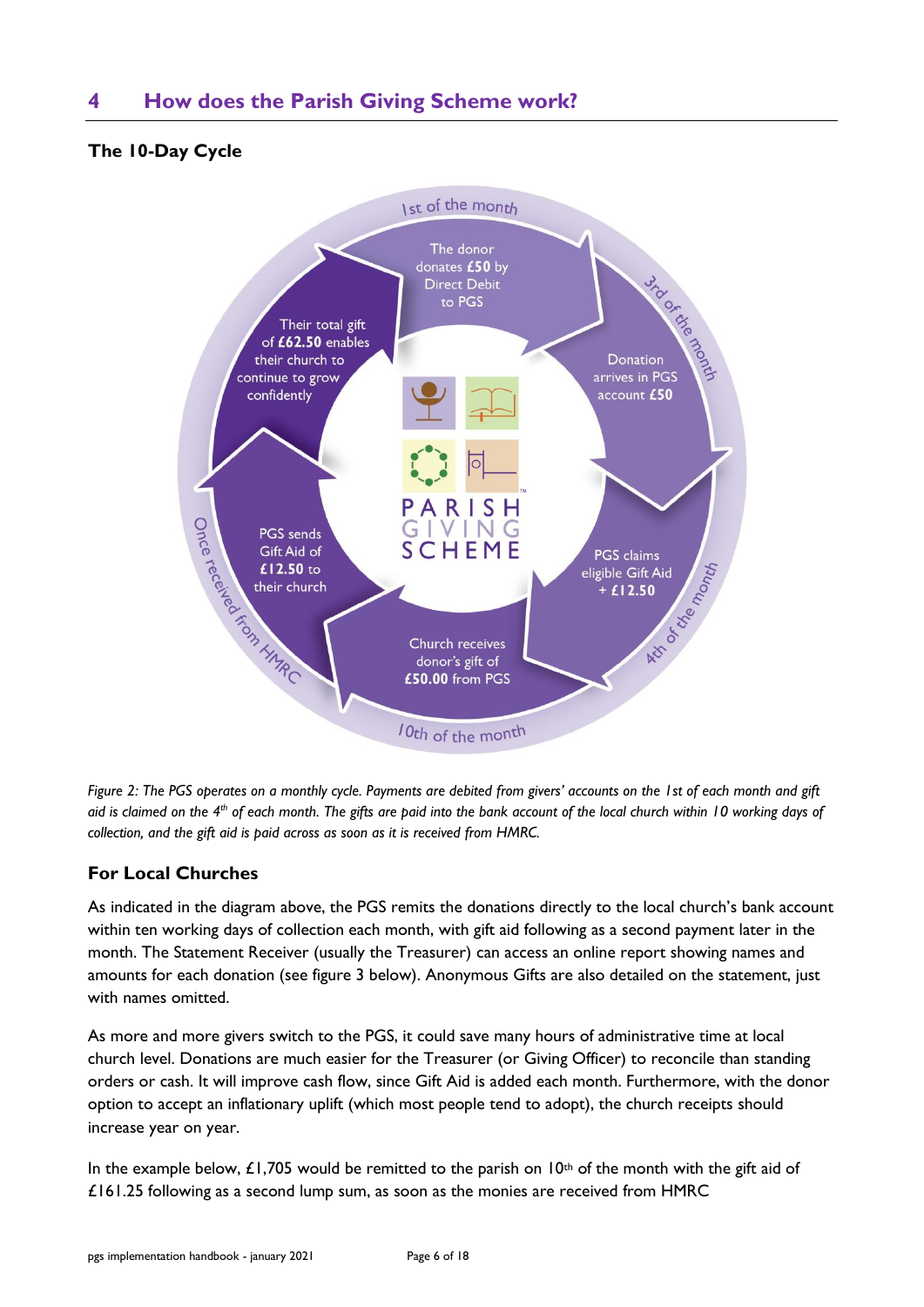# <span id="page-5-0"></span>**4 How does the Parish Giving Scheme work?**

## **The 10-Day Cycle**



*Figure 2: The PGS operates on a monthly cycle. Payments are debited from givers' accounts on the 1st of each month and gift aid is claimed on the 4th of each month. The gifts are paid into the bank account of the local church within 10 working days of collection, and the gift aid is paid across as soon as it is received from HMRC.*

## **For Local Churches**

As indicated in the diagram above, the PGS remits the donations directly to the local church's bank account within ten working days of collection each month, with gift aid following as a second payment later in the month. The Statement Receiver (usually the Treasurer) can access an online report showing names and amounts for each donation (see figure 3 below). Anonymous Gifts are also detailed on the statement, just with names omitted.

As more and more givers switch to the PGS, it could save many hours of administrative time at local church level. Donations are much easier for the Treasurer (or Giving Officer) to reconcile than standing orders or cash. It will improve cash flow, since Gift Aid is added each month. Furthermore, with the donor option to accept an inflationary uplift (which most people tend to adopt), the church receipts should increase year on year.

In the example below, £1,705 would be remitted to the parish on  $10<sup>th</sup>$  of the month with the gift aid of £161.25 following as a second lump sum, as soon as the monies are received from HMRC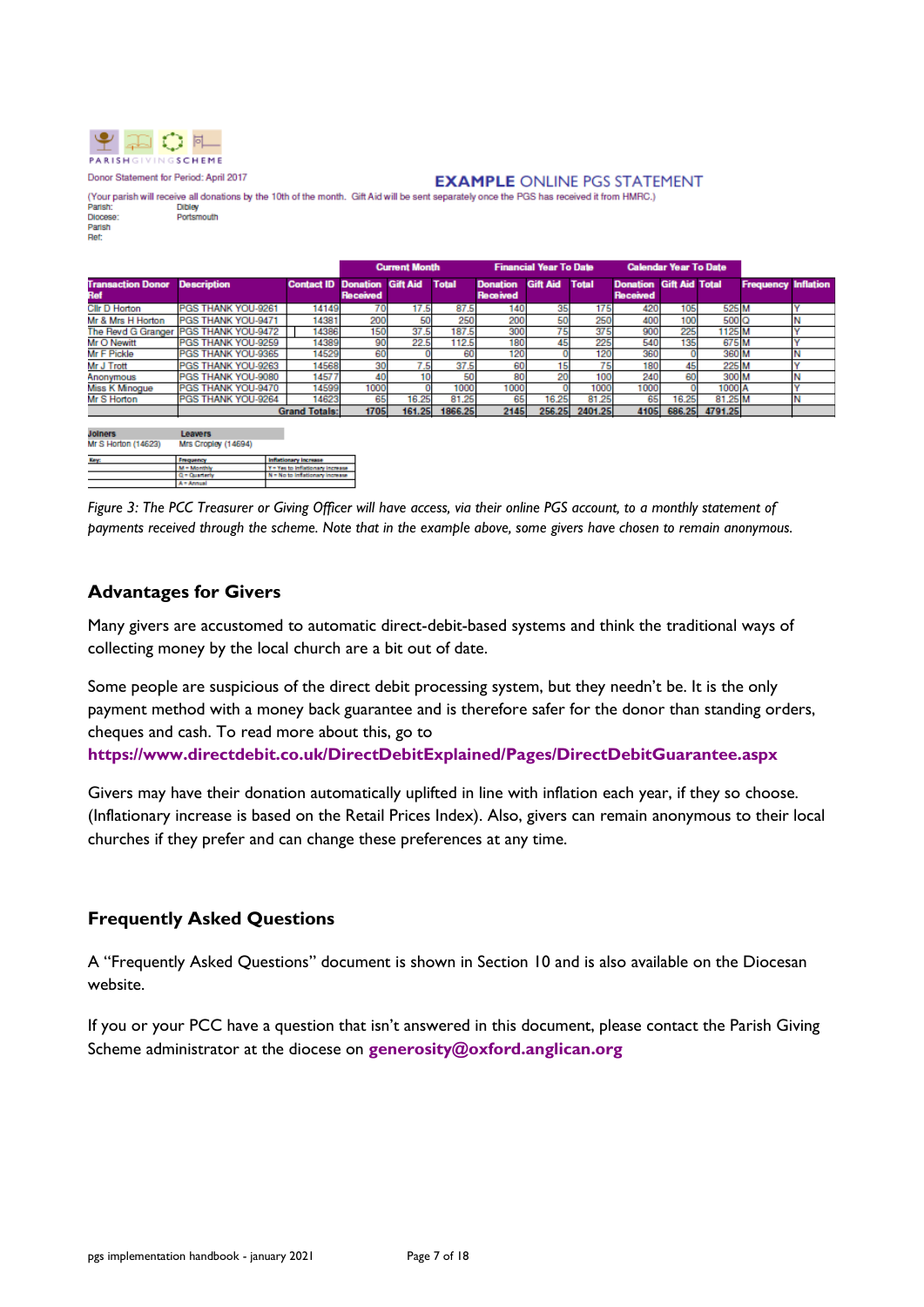

Donor Statement for Period: April 2017

#### **EXAMPLE ONLINE PGS STATEMENT**

(Your parish will receive all donations by the 10th of the month. Gift Aid will be sent separately once the PGS has received it from HMRC.) **Dibley** Parish Portsmouth Diocese Dioces<br>Parish

|                                 |                                       |                                     | <b>Current Month</b><br><b>Financial Year To Date</b> |        |              |                                    | <b>Calendar Year To Date</b> |                 |                                            |       |                  |                            |  |
|---------------------------------|---------------------------------------|-------------------------------------|-------------------------------------------------------|--------|--------------|------------------------------------|------------------------------|-----------------|--------------------------------------------|-------|------------------|----------------------------|--|
| <b>Transaction Donor</b><br>Ref | <b>Description</b>                    | <b>Contact ID Donation Gift Aid</b> | Received                                              |        | <b>Total</b> | <b>Donation</b><br><b>Received</b> | <b>Gift Aid</b>              | <b>Total</b>    | <b>Donation Gift Aid Total</b><br>Received |       |                  | <b>Frequency Inflation</b> |  |
| <b>Clir D Horton</b>            | PGS THANK YOU-9261                    | 14149                               | 70                                                    | 17.5   | 87.5         | 140                                | 35                           | 175             | 420                                        | 105   | 525 M            |                            |  |
| Mr & Mrs H Horton               | PGS THANK YOU-9471                    | 14381                               | 200                                                   | 50     | 250          | 200                                | 50                           | 250             | 400                                        | 100   | 500 <sub>Q</sub> |                            |  |
|                                 | The Revd G Granger PGS THANK YOU-9472 | 14386                               | 150                                                   | 37.5   | 187.5        | 300                                |                              | 375             | 900                                        | 225   | 1125 M           |                            |  |
| Mr O Newitt                     | PGS THANK YOU-9259                    | 14389                               | 90                                                    | 22.5   | 112.5        | 180                                |                              | 225             | 540                                        | 135   | 675 M            |                            |  |
| Mr F Pickle                     | PGS THANK YOU-9365                    | 14529                               | 60                                                    |        | 60           | 120                                |                              | 120             | 360                                        |       | 360 M            |                            |  |
| Mr J Trott                      | PGS THANK YOU-9263                    | 14568                               | 30                                                    |        | 37.5         | 60                                 |                              | 75 <sub>1</sub> | 180                                        | 45    | 225 M            |                            |  |
| Anonymous                       | PGS THANK YOU-9080                    | 14577                               | 40                                                    |        | 50           | 80                                 |                              | 100             | 240                                        | 60    | 300 <sub>N</sub> |                            |  |
| Miss K Minogue                  | PGS THANK YOU-9470                    | 14599                               | 1000                                                  |        | 1000         | 1000                               |                              | 1000            | 1000                                       |       | 1000 A           |                            |  |
| Mr S Horton                     | PGS THANK YOU-9264                    | 14623                               | 65                                                    | 16.25  | 81.25        | 65                                 | 16.25                        | 81.25           | 65                                         | 16.25 | 81.25 M          |                            |  |
|                                 |                                       | <b>Grand Totals:</b>                | 1705                                                  | 161.25 | 1866.25      | 2145                               | 256.25                       | 2401.25         | 4105                                       |       | 686.25 4791.25   |                            |  |
|                                 |                                       |                                     |                                                       |        |              |                                    |                              |                 |                                            |       |                  |                            |  |

| <b>Joiners</b><br>Mr S Horton (14623) | <b>Leavers</b><br>Mrs Cropley (14694) |                                  |
|---------------------------------------|---------------------------------------|----------------------------------|
| <b>Key:</b>                           | Frequency                             | <b>Inflationary Increase</b>     |
|                                       | - Manthly                             | Y = Yes to Inflationary Increase |
|                                       | $d =$ Quarterly                       | N = No to Inflationary Increase  |
|                                       | Annual                                |                                  |

*Figure 3: The PCC Treasurer or Giving Officer will have access, via their online PGS account, to a monthly statement of payments received through the scheme. Note that in the example above, some givers have chosen to remain anonymous.*

## **Advantages for Givers**

Many givers are accustomed to automatic direct-debit-based systems and think the traditional ways of collecting money by the local church are a bit out of date.

Some people are suspicious of the direct debit processing system, but they needn't be. It is the only payment method with a money back guarantee and is therefore safer for the donor than standing orders, cheques and cash. To read more about this, go to

**<https://www.directdebit.co.uk/DirectDebitExplained/Pages/DirectDebitGuarantee.aspx>**

Givers may have their donation automatically uplifted in line with inflation each year, if they so choose. (Inflationary increase is based on the Retail Prices Index). Also, givers can remain anonymous to their local churches if they prefer and can change these preferences at any time.

## **Frequently Asked Questions**

A "Frequently Asked Questions" document is shown in Section 10 and is also available on the Diocesan website.

If you or your PCC have a question that isn't answered in this document, please contact the Parish Giving Scheme administrator at the diocese on **[generosity@oxford.anglican.org](mailto:generosity@oxford.anglican.org)**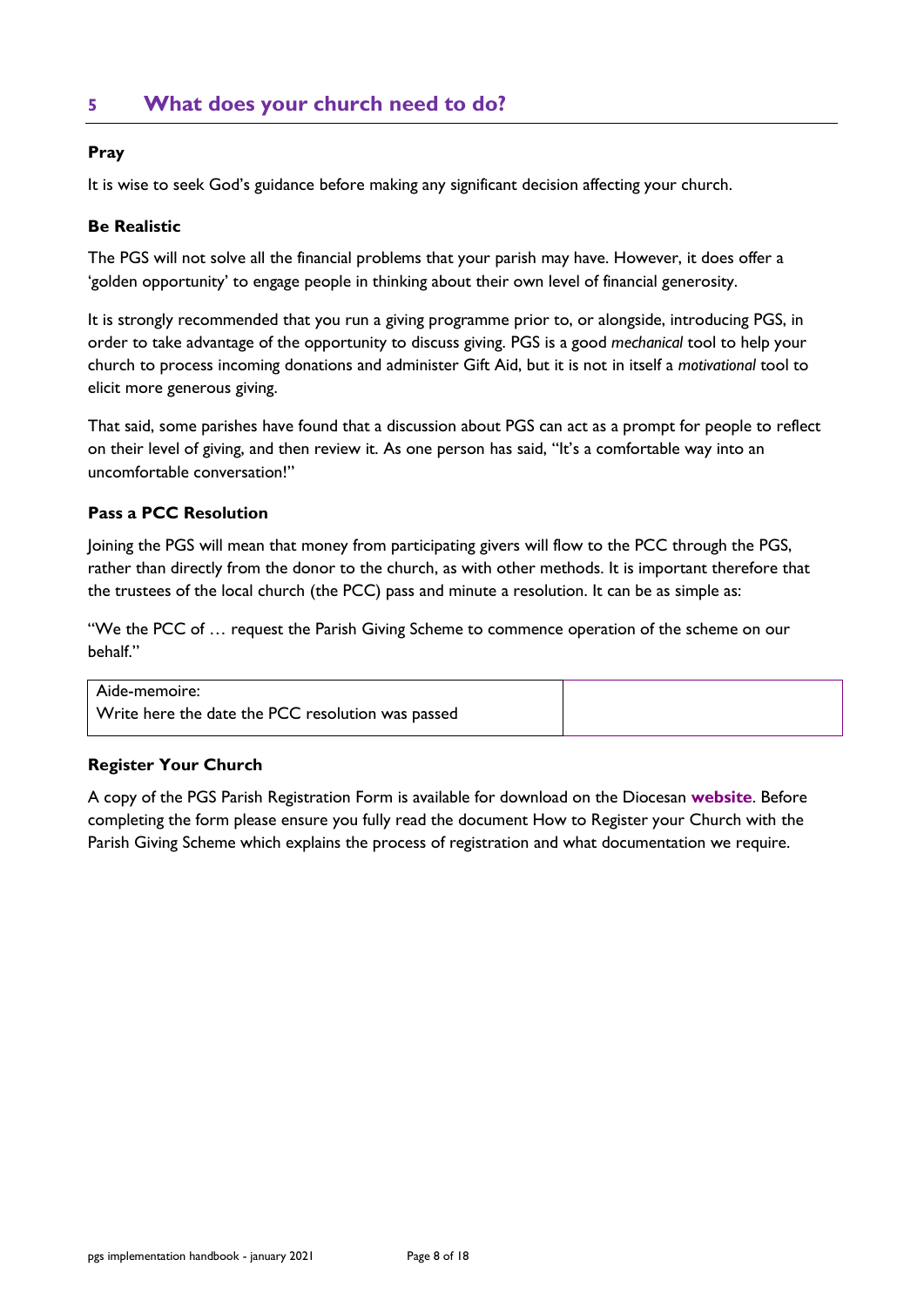# <span id="page-7-0"></span>**5 What does your church need to do?**

## **Pray**

It is wise to seek God's guidance before making any significant decision affecting your church.

## **Be Realistic**

The PGS will not solve all the financial problems that your parish may have. However, it does offer a 'golden opportunity' to engage people in thinking about their own level of financial generosity.

It is strongly recommended that you run a giving programme prior to, or alongside, introducing PGS, in order to take advantage of the opportunity to discuss giving. PGS is a good *mechanical* tool to help your church to process incoming donations and administer Gift Aid, but it is not in itself a *motivational* tool to elicit more generous giving.

That said, some parishes have found that a discussion about PGS can act as a prompt for people to reflect on their level of giving, and then review it. As one person has said, "It's a comfortable way into an uncomfortable conversation!"

## **Pass a PCC Resolution**

Joining the PGS will mean that money from participating givers will flow to the PCC through the PGS, rather than directly from the donor to the church, as with other methods. It is important therefore that the trustees of the local church (the PCC) pass and minute a resolution. It can be as simple as:

"We the PCC of … request the Parish Giving Scheme to commence operation of the scheme on our behalf."

#### Aide-memoire:

Write here the date the PCC resolution was passed

## **Register Your Church**

A copy of the PGS Parish Registration Form is available for download on the Diocesan **[website](https://www.oxford.anglican.org/support-services/parish-support/generous-giving/parish-giving-scheme/#PGS_further_info)**. Before completing the form please ensure you fully read the document How to Register your Church with the Parish Giving Scheme which explains the process of registration and what documentation we require.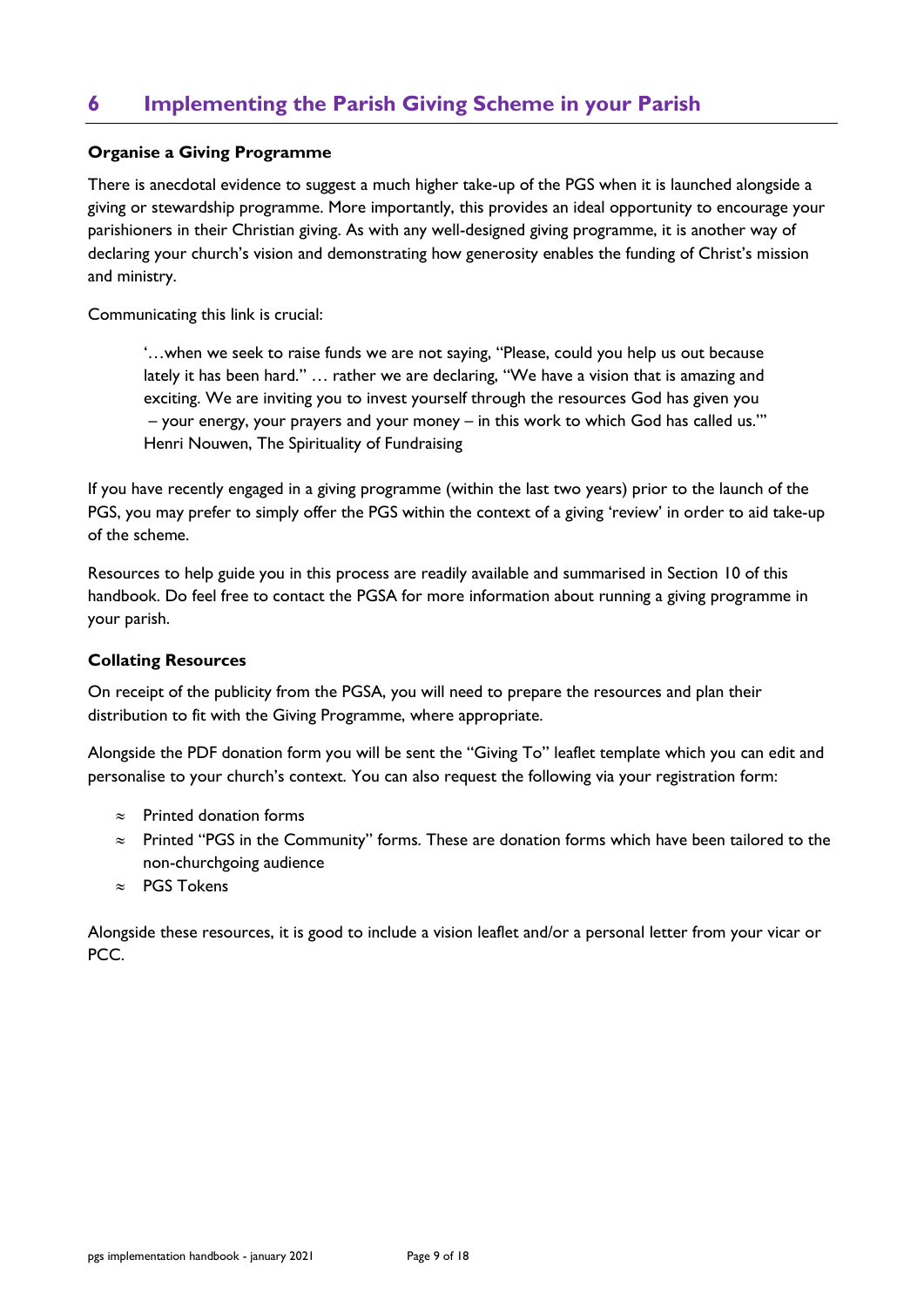# <span id="page-8-0"></span>**6 Implementing the Parish Giving Scheme in your Parish**

## **Organise a Giving Programme**

There is anecdotal evidence to suggest a much higher take-up of the PGS when it is launched alongside a giving or stewardship programme. More importantly, this provides an ideal opportunity to encourage your parishioners in their Christian giving. As with any well-designed giving programme, it is another way of declaring your church's vision and demonstrating how generosity enables the funding of Christ's mission and ministry.

Communicating this link is crucial:

'…when we seek to raise funds we are not saying, "Please, could you help us out because lately it has been hard." … rather we are declaring, "We have a vision that is amazing and exciting. We are inviting you to invest yourself through the resources God has given you – your energy, your prayers and your money – in this work to which God has called us."' Henri Nouwen, The Spirituality of Fundraising

If you have recently engaged in a giving programme (within the last two years) prior to the launch of the PGS, you may prefer to simply offer the PGS within the context of a giving 'review' in order to aid take-up of the scheme.

Resources to help guide you in this process are readily available and summarised in Section 10 of this handbook. Do feel free to contact the PGSA for more information about running a giving programme in your parish.

#### **Collating Resources**

On receipt of the publicity from the PGSA, you will need to prepare the resources and plan their distribution to fit with the Giving Programme, where appropriate.

Alongside the PDF donation form you will be sent the "Giving To" leaflet template which you can edit and personalise to your church's context. You can also request the following via your registration form:

- $\approx$  Printed donation forms
- $\approx$  Printed "PGS in the Community" forms. These are donation forms which have been tailored to the non-churchgoing audience
- $\approx$  PGS Tokens

Alongside these resources, it is good to include a vision leaflet and/or a personal letter from your vicar or PCC.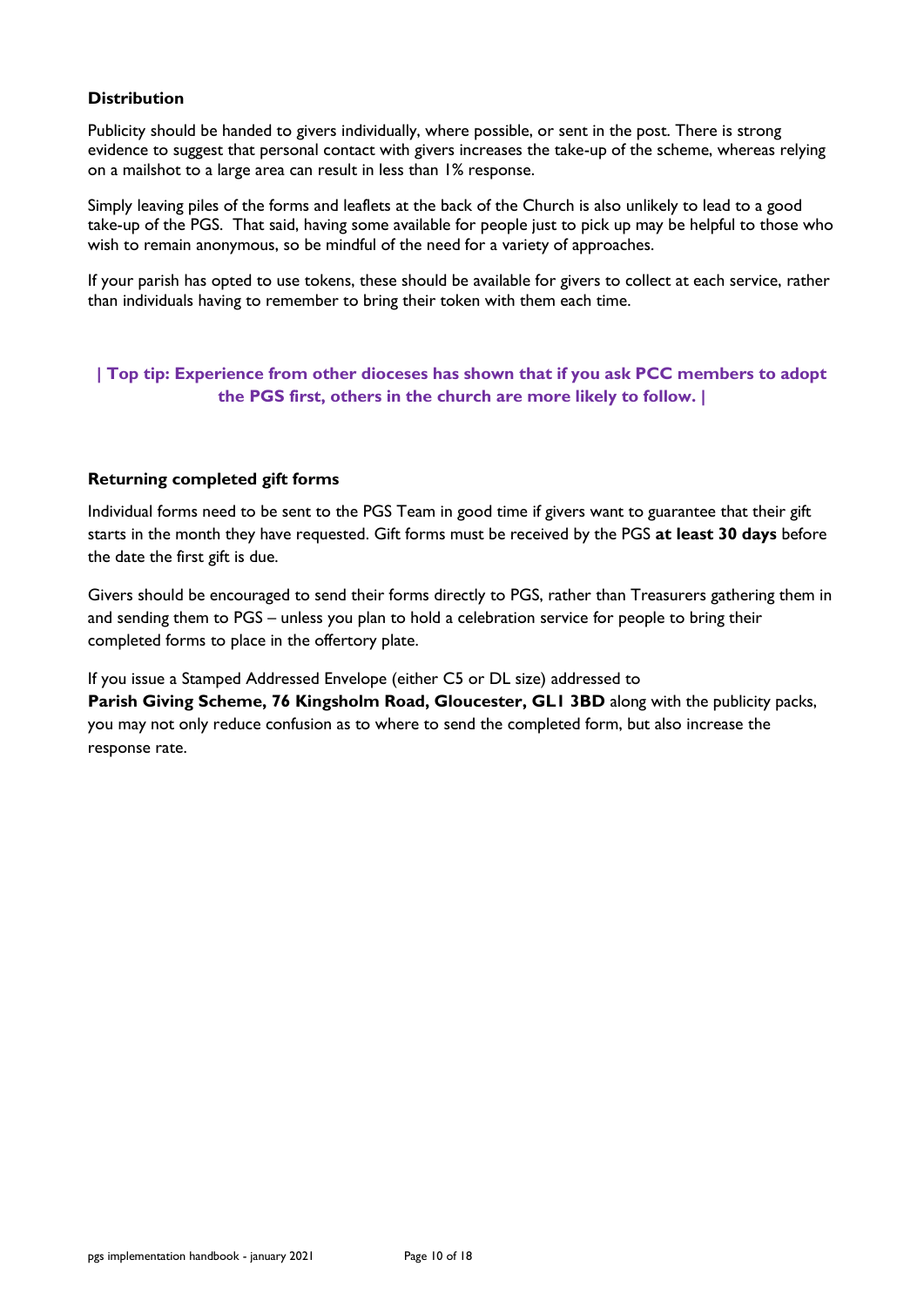## **Distribution**

Publicity should be handed to givers individually, where possible, or sent in the post. There is strong evidence to suggest that personal contact with givers increases the take-up of the scheme, whereas relying on a mailshot to a large area can result in less than 1% response.

Simply leaving piles of the forms and leaflets at the back of the Church is also unlikely to lead to a good take-up of the PGS. That said, having some available for people just to pick up may be helpful to those who wish to remain anonymous, so be mindful of the need for a variety of approaches.

If your parish has opted to use tokens, these should be available for givers to collect at each service, rather than individuals having to remember to bring their token with them each time.

## **| Top tip: Experience from other dioceses has shown that if you ask PCC members to adopt the PGS first, others in the church are more likely to follow. |**

## **Returning completed gift forms**

Individual forms need to be sent to the PGS Team in good time if givers want to guarantee that their gift starts in the month they have requested. Gift forms must be received by the PGS **at least 30 days** before the date the first gift is due.

Givers should be encouraged to send their forms directly to PGS, rather than Treasurers gathering them in and sending them to PGS – unless you plan to hold a celebration service for people to bring their completed forms to place in the offertory plate.

If you issue a Stamped Addressed Envelope (either C5 or DL size) addressed to **Parish Giving Scheme, 76 Kingsholm Road, Gloucester, GL1 3BD** along with the publicity packs, you may not only reduce confusion as to where to send the completed form, but also increase the response rate.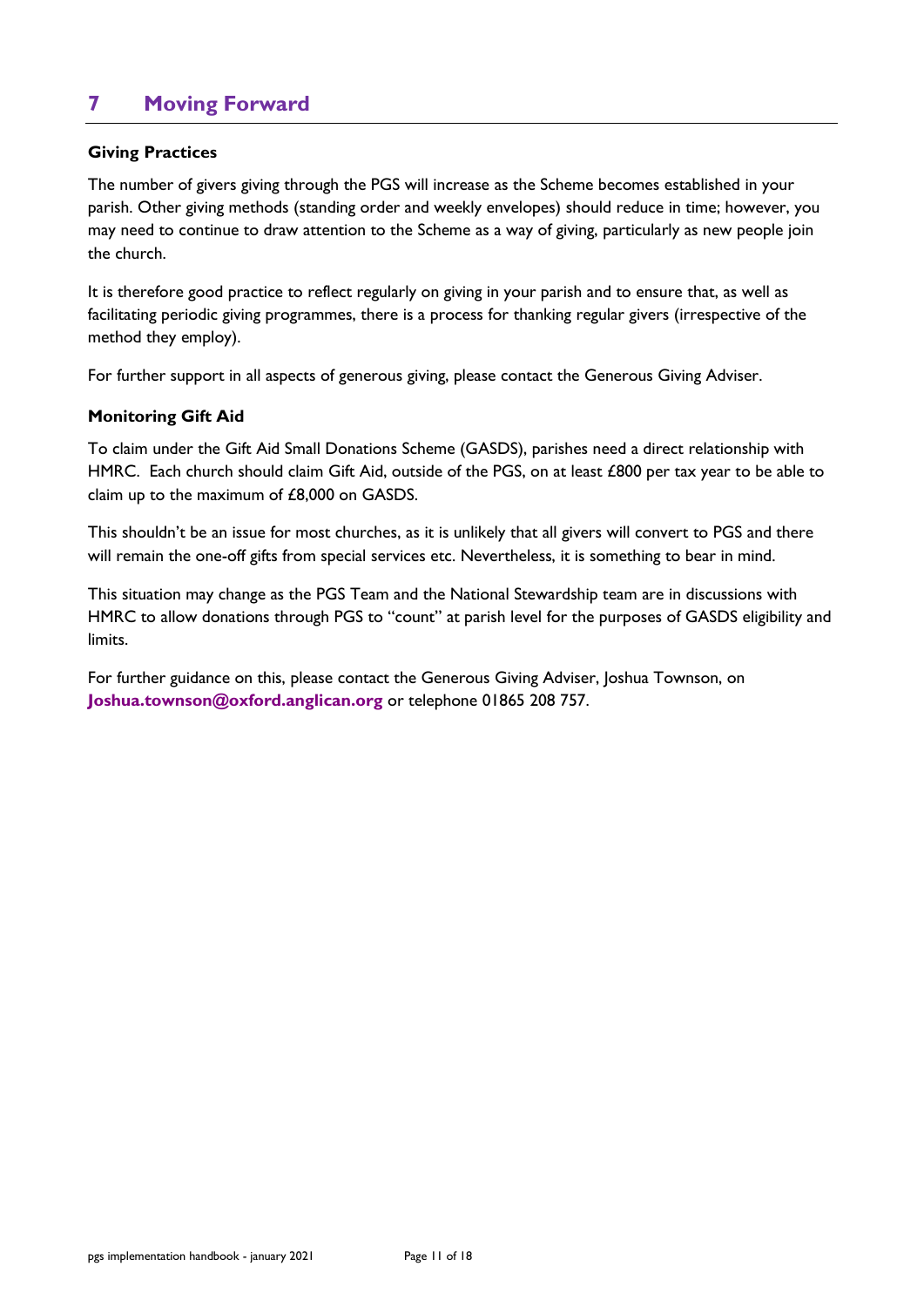# <span id="page-10-0"></span>**7 Moving Forward**

## **Giving Practices**

The number of givers giving through the PGS will increase as the Scheme becomes established in your parish. Other giving methods (standing order and weekly envelopes) should reduce in time; however, you may need to continue to draw attention to the Scheme as a way of giving, particularly as new people join the church.

It is therefore good practice to reflect regularly on giving in your parish and to ensure that, as well as facilitating periodic giving programmes, there is a process for thanking regular givers (irrespective of the method they employ).

For further support in all aspects of generous giving, please contact the Generous Giving Adviser.

## **Monitoring Gift Aid**

To claim under the Gift Aid Small Donations Scheme (GASDS), parishes need a direct relationship with HMRC. Each church should claim Gift Aid, outside of the PGS, on at least £800 per tax year to be able to claim up to the maximum of £8,000 on GASDS.

This shouldn't be an issue for most churches, as it is unlikely that all givers will convert to PGS and there will remain the one-off gifts from special services etc. Nevertheless, it is something to bear in mind.

This situation may change as the PGS Team and the National Stewardship team are in discussions with HMRC to allow donations through PGS to "count" at parish level for the purposes of GASDS eligibility and limits.

For further guidance on this, please contact the Generous Giving Adviser, Joshua Townson, on **[Joshua.townson@oxford.anglican.org](mailto:Joshua.townson@oxford.anglican.org)** or telephone 01865 208 757.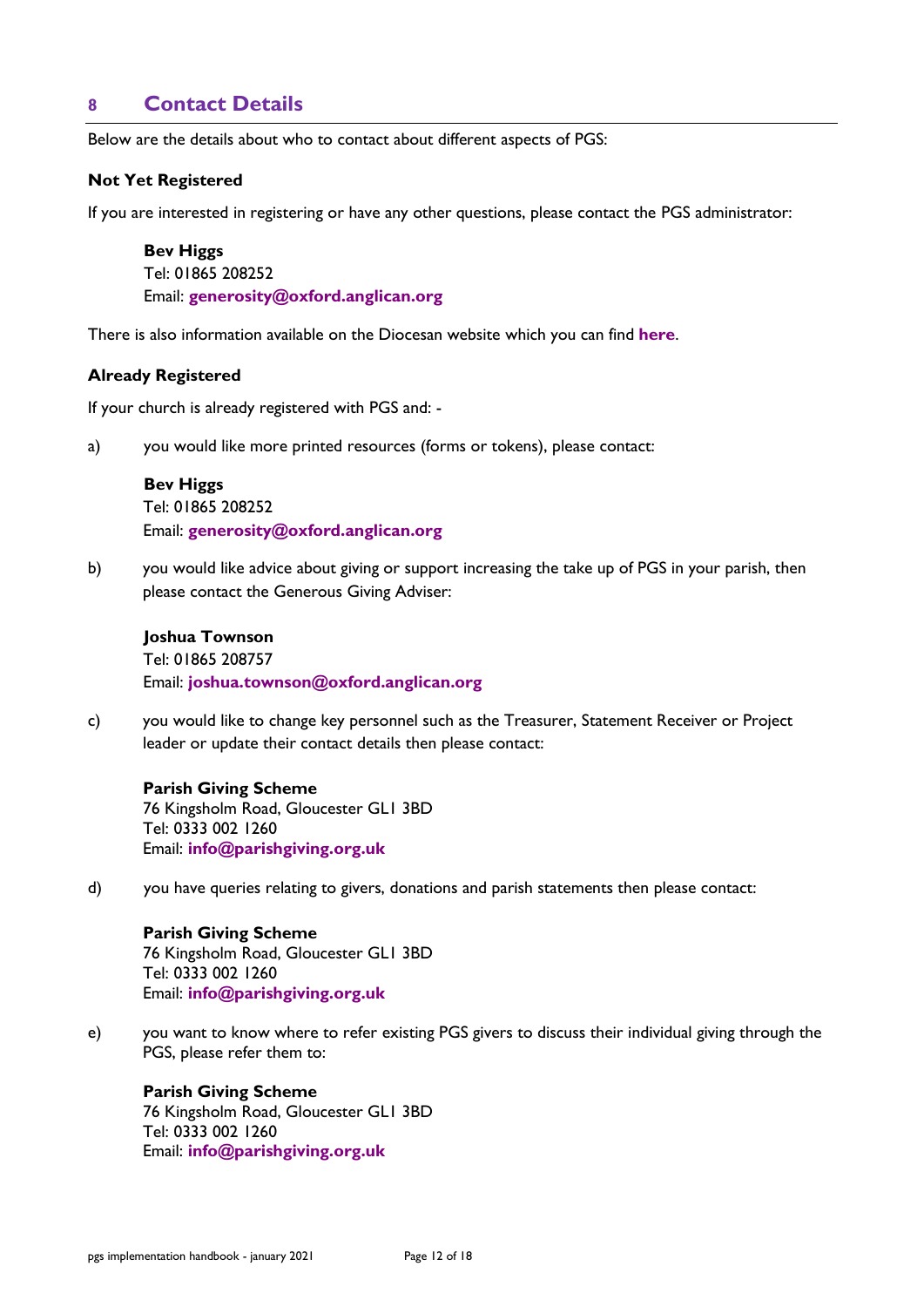## <span id="page-11-0"></span>**8 Contact Details**

Below are the details about who to contact about different aspects of PGS:

#### **Not Yet Registered**

If you are interested in registering or have any other questions, please contact the PGS administrator:

**Bev Higgs** Tel: 01865 208252 Email: **[generosity@oxford.anglican.org](mailto:generosity@oxford.anglican.org)**

There is also information available on the Diocesan website which you can find **[here](https://www.oxford.anglican.org/support-services/parish-support/generous-giving/parish-giving-scheme/)**.

#### **Already Registered**

If your church is already registered with PGS and: -

a) you would like more printed resources (forms or tokens), please contact:

#### **Bev Higgs**

Tel: 01865 208252 Email: **[generosity@oxford.anglican.org](mailto:generosity@oxford.anglican.org)**

b) you would like advice about giving or support increasing the take up of PGS in your parish, then please contact the Generous Giving Adviser:

## **Joshua Townson** Tel: 01865 208757 Email: **[joshua.townson@oxford.anglican.org](mailto:joshua.townson@oxford.anglican.org)**

c) you would like to change key personnel such as the Treasurer, Statement Receiver or Project leader or update their contact details then please contact:

**Parish Giving Scheme**  76 Kingsholm Road, Gloucester GL1 3BD Tel: 0333 002 1260 Email: **[info@parishgiving.org.uk](mailto:info@parishgiving.org.uk)**

d) you have queries relating to givers, donations and parish statements then please contact:

## **Parish Giving Scheme**  76 Kingsholm Road, Gloucester GL1 3BD Tel: 0333 002 1260 Email: **[info@parishgiving.org.uk](mailto:info@parishgiving.org.uk)**

e) you want to know where to refer existing PGS givers to discuss their individual giving through the PGS, please refer them to:

#### **Parish Giving Scheme**

76 Kingsholm Road, Gloucester GL1 3BD Tel: 0333 002 1260 Email: **[info@parishgiving.org.uk](mailto:info@parishgiving.org.uk)**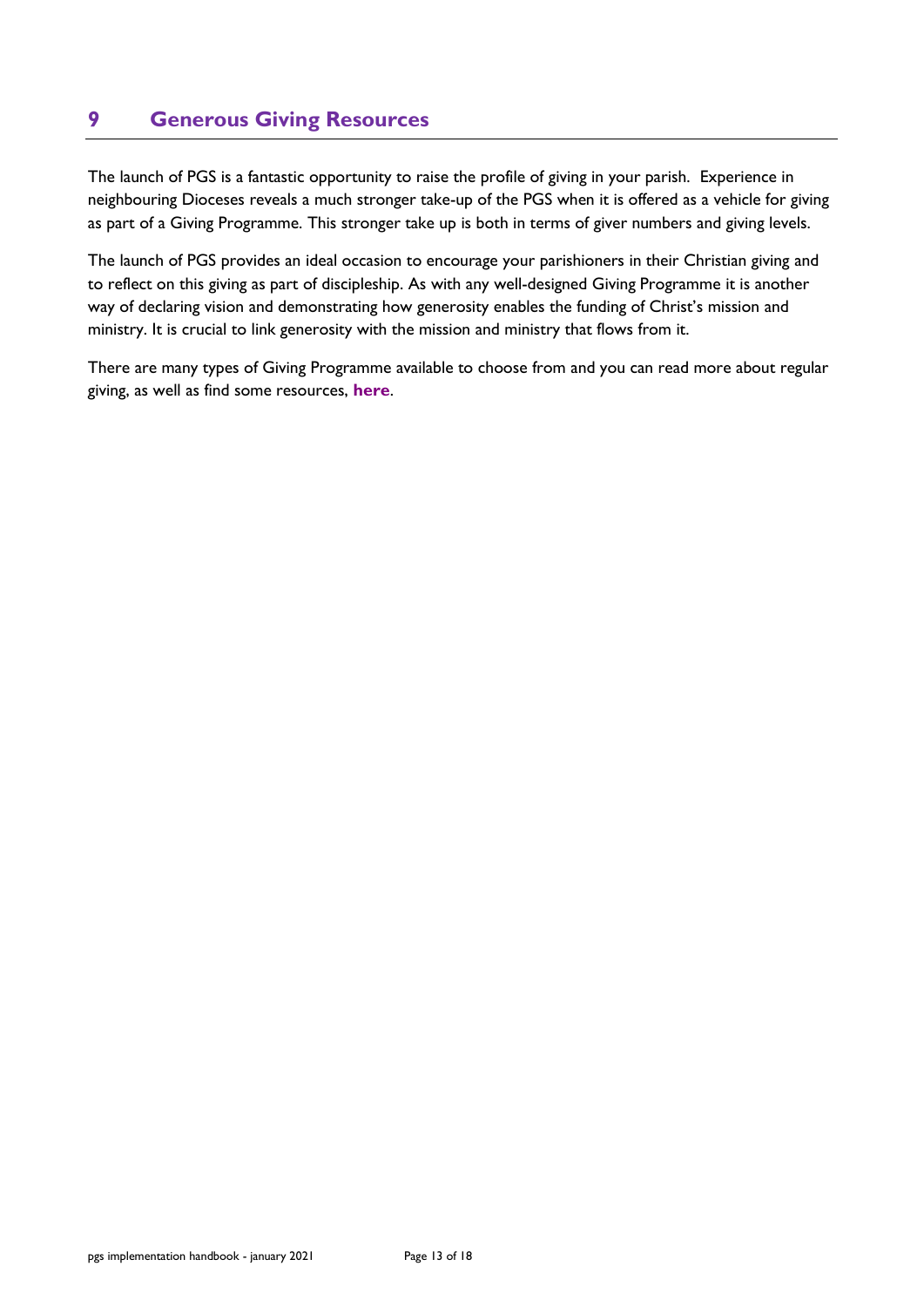# <span id="page-12-0"></span>**9 Generous Giving Resources**

The launch of PGS is a fantastic opportunity to raise the profile of giving in your parish. Experience in neighbouring Dioceses reveals a much stronger take-up of the PGS when it is offered as a vehicle for giving as part of a Giving Programme. This stronger take up is both in terms of giver numbers and giving levels.

The launch of PGS provides an ideal occasion to encourage your parishioners in their Christian giving and to reflect on this giving as part of discipleship. As with any well-designed Giving Programme it is another way of declaring vision and demonstrating how generosity enables the funding of Christ's mission and ministry. It is crucial to link generosity with the mission and ministry that flows from it.

There are many types of Giving Programme available to choose from and you can read more about regular giving, as well as find some resources, **[here](https://www.oxford.anglican.org/support-services/parish-support/generous-giving/regular-giving/)**.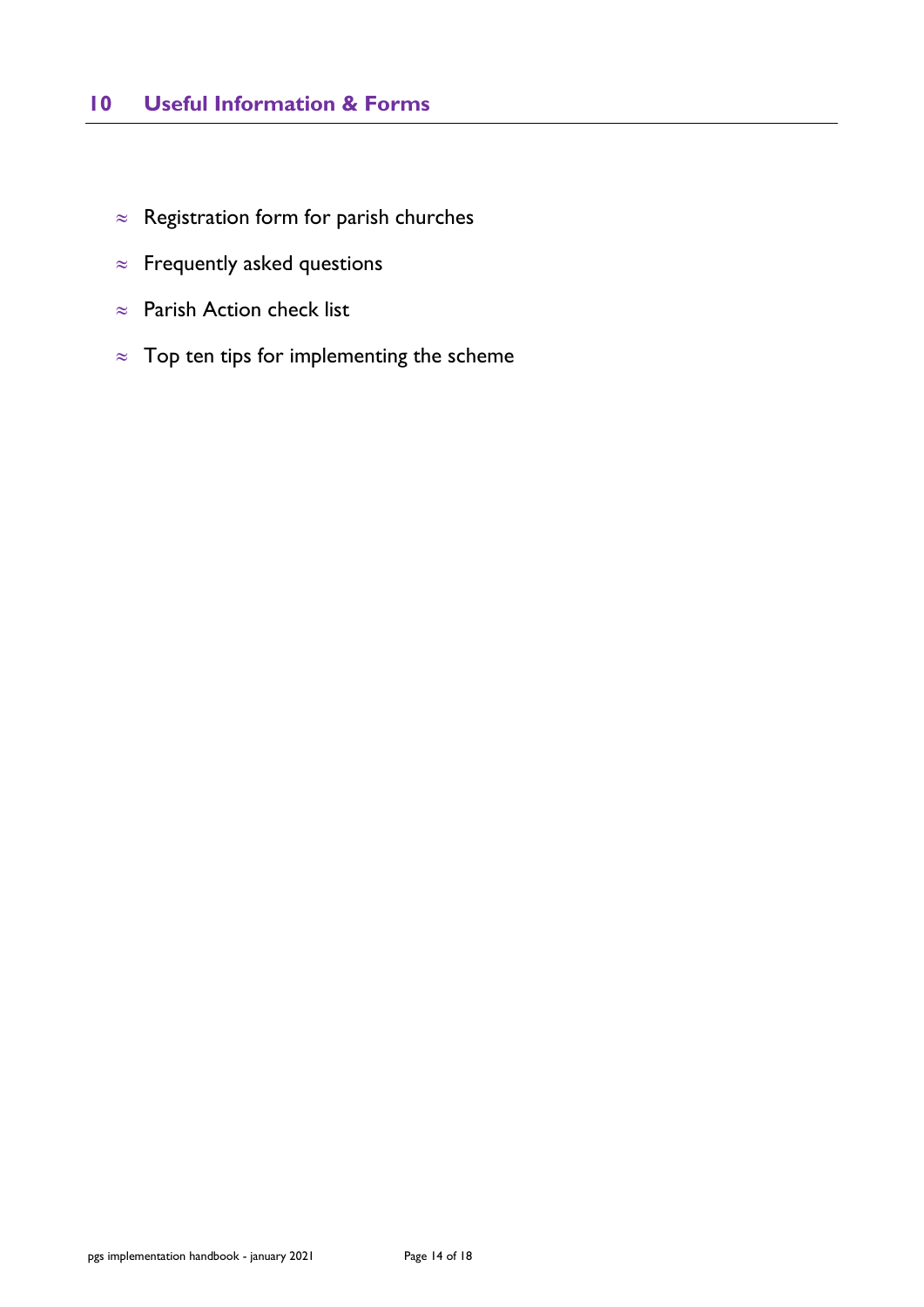# <span id="page-13-0"></span>**10 Useful Information & Forms**

- $\approx$  Registration form for parish churches
- $\approx$  Frequently asked questions
- $\approx$  Parish Action check list
- $\approx$  Top ten tips for implementing the scheme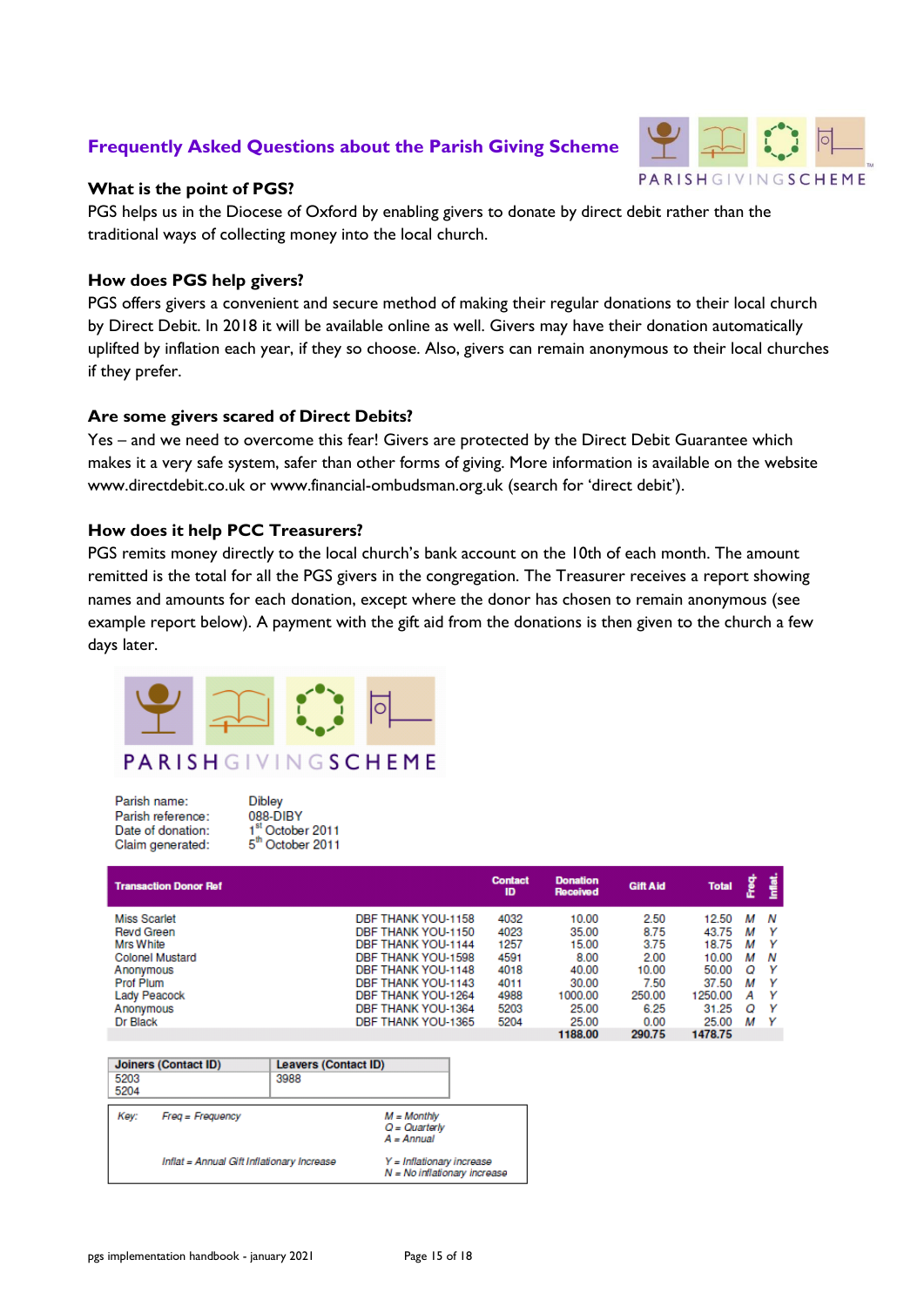## **Frequently Asked Questions about the Parish Giving Scheme**



## **What is the point of PGS?**

PGS helps us in the Diocese of Oxford by enabling givers to donate by direct debit rather than the traditional ways of collecting money into the local church.

## **How does PGS help givers?**

PGS offers givers a convenient and secure method of making their regular donations to their local church by Direct Debit. In 2018 it will be available online as well. Givers may have their donation automatically uplifted by inflation each year, if they so choose. Also, givers can remain anonymous to their local churches if they prefer.

## **Are some givers scared of Direct Debits?**

Yes – and we need to overcome this fear! Givers are protected by the Direct Debit Guarantee which makes it a very safe system, safer than other forms of giving. More information is available on the website www.directdebit.co.uk or www.financial-ombudsman.org.uk (search for 'direct debit').

## **How does it help PCC Treasurers?**

PGS remits money directly to the local church's bank account on the 10th of each month. The amount remitted is the total for all the PGS givers in the congregation. The Treasurer receives a report showing names and amounts for each donation, except where the donor has chosen to remain anonymous (see example report below). A payment with the gift aid from the donations is then given to the church a few days later.



Parish name: Parish reference: Date of donation: Claim generated:

**Dibley** 088-DIBY  $1<sup>st</sup> October 2011  
5<sup>th</sup> October 2011$ 

| <b>Transaction Donor Ref</b> |                    | <b>Contact</b><br>ID | <b>Donation</b><br>Received | <b>Gift Aid</b> | <b>Total</b> | e<br>E | Inflat.  |
|------------------------------|--------------------|----------------------|-----------------------------|-----------------|--------------|--------|----------|
| <b>Miss Scarlet</b>          | DBF THANK YOU-1158 | 4032                 | 10.00                       | 2.50            | 12.50        | м      | N        |
| <b>Revd Green</b>            | DBF THANK YOU-1150 | 4023                 | 35.00                       | 8.75            | 43.75        | м      | <b>Y</b> |
| <b>Mrs White</b>             | DBF THANK YOU-1144 | 1257                 | 15.00                       | 3.75            | 18.75        | м      | Y        |
| <b>Colonel Mustard</b>       | DBF THANK YOU-1598 | 4591                 | 8.00                        | 2.00            | 10.00        | м      | N        |
| Anonymous                    | DBF THANK YOU-1148 | 4018                 | 40.00                       | 10.00           | 50.00        | O      | Y        |
| <b>Prof Plum</b>             | DBF THANK YOU-1143 | 4011                 | 30.00                       | 7.50            | 37.50        | м      | Y        |
| Lady Peacock                 | DBF THANK YOU-1264 | 4988                 | 1000.00                     | 250.00          | 1250.00      | А      | Y        |
| Anonymous                    | DBF THANK YOU-1364 | 5203                 | 25.00                       | 6.25            | 31.25        | O      | Y        |
| Dr Black                     | DBF THANK YOU-1365 | 5204                 | 25.00                       | 0.00            | 25.00        | м      | Y        |
|                              |                    |                      | 1188.00                     | 290.75          | 1478.75      |        |          |

| Joiners (Contact ID)<br>5203<br>5204 |                                            | <b>Leavers (Contact ID)</b><br>3988 |                                                             |  |  |
|--------------------------------------|--------------------------------------------|-------------------------------------|-------------------------------------------------------------|--|--|
| Kev:                                 | $Freq = Frequency$                         |                                     | $M = Monthly$<br>$Q =$ Quarterly<br>$A = Annual$            |  |  |
|                                      | Inflat = Annual Gift Inflationary Increase |                                     | Y = Inflationary increase<br>$N = No$ inflationary increase |  |  |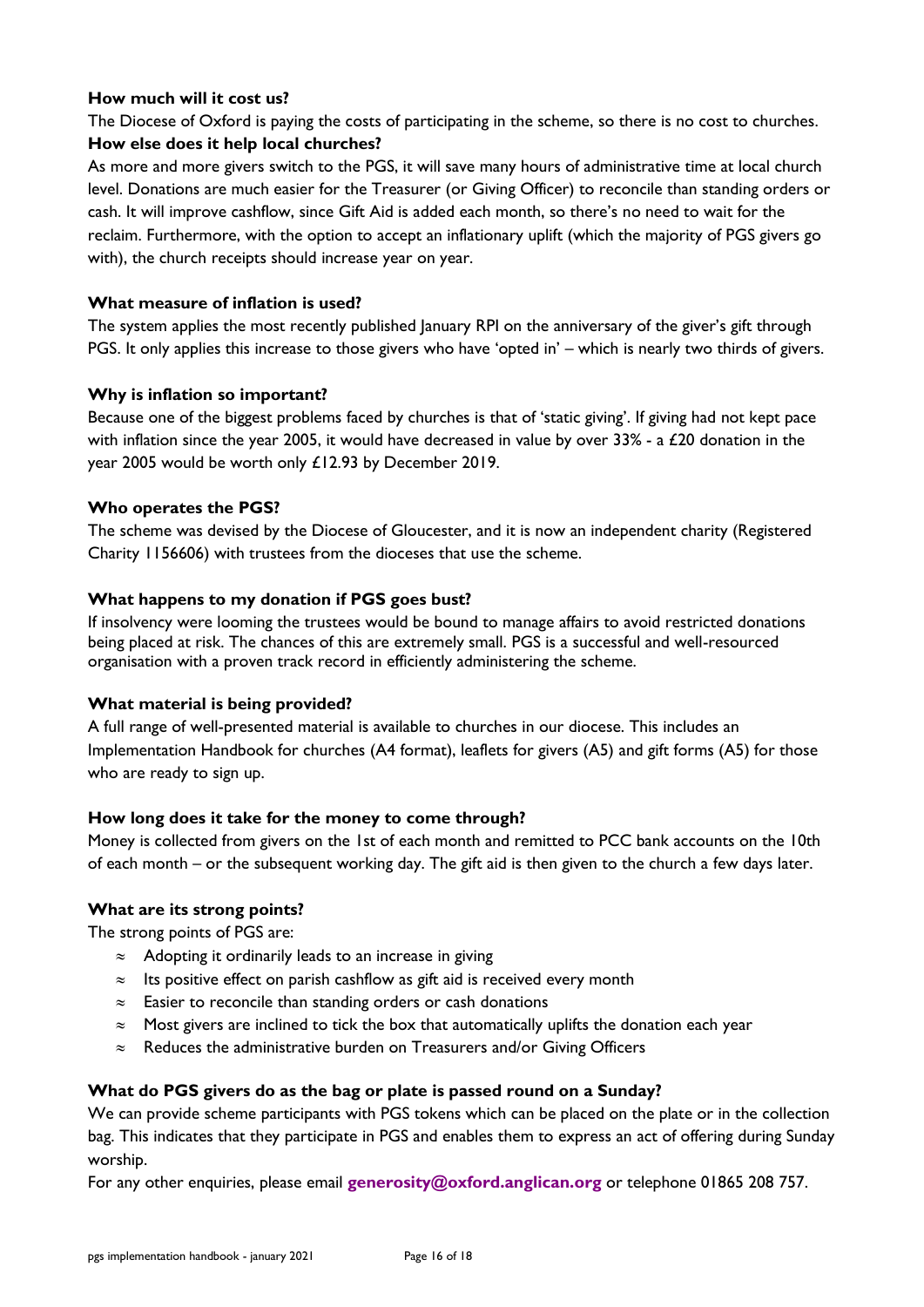## **How much will it cost us?**

The Diocese of Oxford is paying the costs of participating in the scheme, so there is no cost to churches. **How else does it help local churches?** 

As more and more givers switch to the PGS, it will save many hours of administrative time at local church level. Donations are much easier for the Treasurer (or Giving Officer) to reconcile than standing orders or cash. It will improve cashflow, since Gift Aid is added each month, so there's no need to wait for the reclaim. Furthermore, with the option to accept an inflationary uplift (which the majority of PGS givers go with), the church receipts should increase year on year.

## **What measure of inflation is used?**

The system applies the most recently published January RPI on the anniversary of the giver's gift through PGS. It only applies this increase to those givers who have 'opted in' – which is nearly two thirds of givers.

## **Why is inflation so important?**

Because one of the biggest problems faced by churches is that of 'static giving'. If giving had not kept pace with inflation since the year 2005, it would have decreased in value by over 33% - a £20 donation in the year 2005 would be worth only £12.93 by December 2019.

## **Who operates the PGS?**

The scheme was devised by the Diocese of Gloucester, and it is now an independent charity (Registered Charity 1156606) with trustees from the dioceses that use the scheme.

## **What happens to my donation if PGS goes bust?**

If insolvency were looming the trustees would be bound to manage affairs to avoid restricted donations being placed at risk. The chances of this are extremely small. PGS is a successful and well-resourced organisation with a proven track record in efficiently administering the scheme.

## **What material is being provided?**

A full range of well-presented material is available to churches in our diocese. This includes an Implementation Handbook for churches (A4 format), leaflets for givers (A5) and gift forms (A5) for those who are ready to sign up.

## **How long does it take for the money to come through?**

Money is collected from givers on the 1st of each month and remitted to PCC bank accounts on the 10th of each month – or the subsequent working day. The gift aid is then given to the church a few days later.

## **What are its strong points?**

The strong points of PGS are:

- $\approx$  Adopting it ordinarily leads to an increase in giving
- $\approx$  Its positive effect on parish cashflow as gift aid is received every month
- $\approx$  Easier to reconcile than standing orders or cash donations
- $\approx$  Most givers are inclined to tick the box that automatically uplifts the donation each year
- $\approx$  Reduces the administrative burden on Treasurers and/or Giving Officers

## **What do PGS givers do as the bag or plate is passed round on a Sunday?**

We can provide scheme participants with PGS tokens which can be placed on the plate or in the collection bag. This indicates that they participate in PGS and enables them to express an act of offering during Sunday worship.

For any other enquiries, please email **[generosity@oxford.anglican.org](mailto:generosity@oxford.anglican.org)** or telephone 01865 208 757.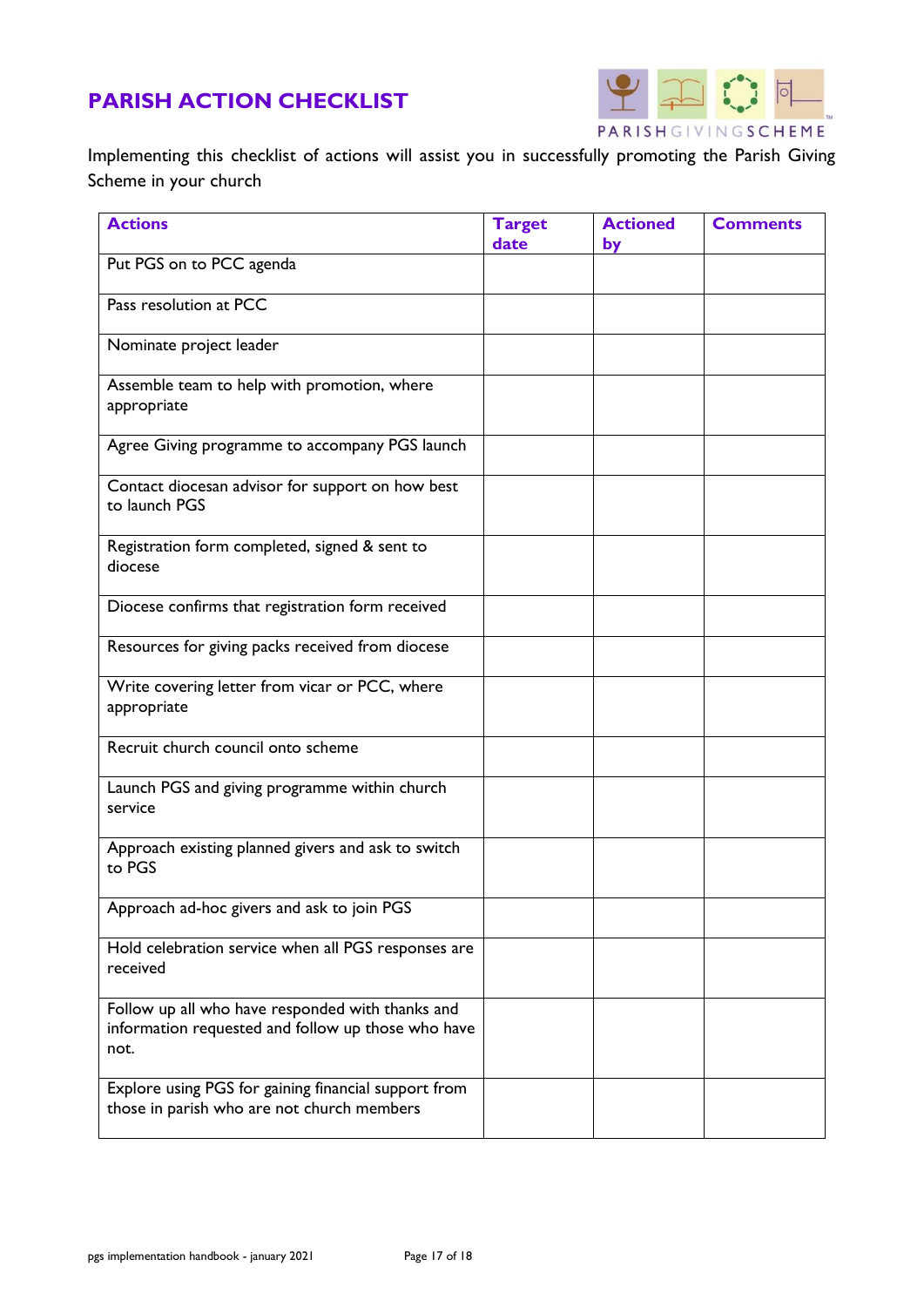# **PARISH ACTION CHECKLIST**



Implementing this checklist of actions will assist you in successfully promoting the Parish Giving Scheme in your church

| <b>Actions</b>                                                                                                 | <b>Target</b><br>date | <b>Actioned</b><br>by | <b>Comments</b> |
|----------------------------------------------------------------------------------------------------------------|-----------------------|-----------------------|-----------------|
| Put PGS on to PCC agenda                                                                                       |                       |                       |                 |
| Pass resolution at PCC                                                                                         |                       |                       |                 |
| Nominate project leader                                                                                        |                       |                       |                 |
| Assemble team to help with promotion, where<br>appropriate                                                     |                       |                       |                 |
| Agree Giving programme to accompany PGS launch                                                                 |                       |                       |                 |
| Contact diocesan advisor for support on how best<br>to launch PGS                                              |                       |                       |                 |
| Registration form completed, signed & sent to<br>diocese                                                       |                       |                       |                 |
| Diocese confirms that registration form received                                                               |                       |                       |                 |
| Resources for giving packs received from diocese                                                               |                       |                       |                 |
| Write covering letter from vicar or PCC, where<br>appropriate                                                  |                       |                       |                 |
| Recruit church council onto scheme                                                                             |                       |                       |                 |
| Launch PGS and giving programme within church<br>service                                                       |                       |                       |                 |
| Approach existing planned givers and ask to switch<br>to PGS                                                   |                       |                       |                 |
| Approach ad-hoc givers and ask to join PGS                                                                     |                       |                       |                 |
| Hold celebration service when all PGS responses are<br>received                                                |                       |                       |                 |
| Follow up all who have responded with thanks and<br>information requested and follow up those who have<br>not. |                       |                       |                 |
| Explore using PGS for gaining financial support from<br>those in parish who are not church members             |                       |                       |                 |